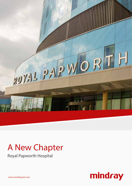

# A New Chapter

Royal Papworth Hospital

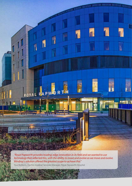

*"Royal Papworth provides leading-edge innovation in its field and we wanted to use technology that reflected this, with the ability to move and evolve as we move and evolve. Mindray's solution offered the greatest scope to achieve this."*

Paul Robbins, Electro-medical Services Manager, Royal Papworth Hospital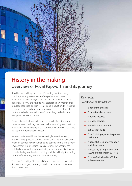

# History in the making Overview of Royal Papworth and its journey

Royal Papworth Hospital is the UK's leading heart and lung hospital, treating more than 100,000 patients each year from across the UK. Since carrying out the UK's first successful heart transplant in 1979, the hospital has established an international reputation for excellence in research and innovation. The hospital performs more heart and lung transplants than any other UK centre, which also makes it one of the leading cardiothoracic transplant centres in the world.

As part of a project to modernise the hospital facilities, a new state-of-the-art building has been built – relocating services from the Papworth Everard site, to the Cambridge Biomedical Campus, adjacent to Addenbrooke's Hospital.

As most patients will have their own single, en-suite rooms, there will be significant benefits in terms of patient privacy and infection control. However, managing patients in this single room environment requires careful consideration. The hospital has installed a state-of-the-art monitoring solution, from Mindray, to provide the highest levels of visibility and clinical insight, ensuring patient safety throughout the patient's journey.

The new Cambridge Biomedical Campus opened its doors to its first elective surgery patients, as well as heart attack patients on the 1st May 2019.

#### Key facts:

Royal Papworth Hospital has:

- $\div$  5 operating theatres
- 5 catheter laboratories
- 2 hybrid theatres
- 6 inpatient wards
- 46-bed critical care unit
- + 300 patient beds
- + Over 250 single, en-suite patient bedrooms
- + A specialist respiratory support and sleep centre
- $\div$  Treated 24,291 inpatients and 92,245 outpatients in 2017/18
- + Over 400 Mindray BeneVision N Series monitors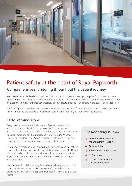

# Patient safety at the heart of Royal Papworth Comprehensive monitoring throughout the patient journey

Mindray UK has worked collaboratively with the prestigious hospital to develop a bespoke, fully connected patient monitoring solution to ensure close monitoring of patients across hundreds of single patient rooms. The state-of-theart system will not only enhance patient safety, but also create efficiencies and improve the quality of data captured.

The flow of patient data directly from the monitors into the hospital's information systems means there is less need for manual input and provides visibility of patient data instantly from any location within the hospital.

### Early warning scores

Caregivers are now automatically alerted of patient deterioration, according to National Early Warning Score (NEWS2) guidelines. NEWS2 aims to save lives by standardising the assessment and response to patient deterioration. By automating the process using Mindray BeneVision monitors, Royal Papworth has been able to reduce human errors, speed up response times and improve patient safety.

As a specialist heart and lung hospital, Royal Papworth's cohort of patients have a different physiology to other hospitals. Mindray refined the NEWS2 display to enable clinical teams to view additional parameters that are important to the hospital, including: Emesis (sickness), pain score and inspired oxygen.

Integration with mobile alarming devices is also allowing senior clinical staff to be alerted and respond in the event of patient deterioration, providing a 'safety net' for nurses caring for patients in the single, en-suite rooms.

#### The monitoring solution:

- + 400 BeneVision N Series monitors, from N12 to N19
- 16 workstations
- 5 BeneVision central stations
- 3 eGateways
- 12 slave screens for the theatre department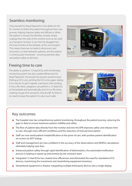### Seamless monitoring

A key benefit for Royal Papworth is the ability for the N1 monitor to follow the patient throughout their care journey, helping improve safety and efficiency. When the patient is moved, the Mindray module simply unplugs from the side of the monitor and can be used as a transport monitor. It can then be 'plugged' into the host monitor at the bedside, at the new location. This means there are no leads to disconnect and reconnect, or clean between patients, and the patient is continuously monitored – ensuring seamless data and patient safety at all times.

### Freeing time to care

The ability to perform 12-lead ECGs with the Mindray monitoring system has also created efficiencies for Royal Papworth. Previously this process would involve finding an ECG cart, printing the ECG onto paper, taking it to a doctor to get it signed, scanning it, then putting it into a file. Now, caregivers can perform a 12-lead ECG at the bedside and automatically send it to a file share, creating a huge time saving for clinical staff. As there is no need to leave the patient it is also much safer.





### Key outcomes

- $\div$  The hospital now has comprehensive patient monitoring, throughout the patient journey, reducing the gaps in data to ensure maximum patient visibility and safety
- The flow of patient data directly from the monitor and into the EPR improves safety and releases time to care, through more efficient workflows and the reduction of manual transcription
- + Staff can now avoid patient misidentification at the point of care, with positive patient identification on-screen via ADT lookup
- + Staff and management are now confident in the accuracy of the observations and NEWS2 calculations, ultimately helping save lives
- Enhanced patient safety through rapid identification of deterioration, the automated notification process is helping to speed up intervention by the outreach team
- **+** Integrated 12-lead ECGs has created time efficiencies and eliminated the need for standalone ECG devices, maximising the investment and streamlining equipment inventory
- Streamlined equipment in theatre, integrating multiple third-party devices into a single display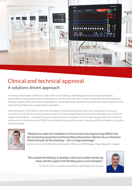

# Clinical and technical approval A solutions driven approach

A winning combination of Mindray's state-of-the-art technology, a flexible approach to developing bespoke functionality at record speed, and the willingness to go "the extra mile", has resulted in high levels of clinical approval. Mindray worked closely with clinical stakeholders to understand their requirements and deliver solutions tailored to the needs of Royal Papworth's unique patient population.

Head of Nursing, Cheryl Riotto, noted that the support provided by Mindray's team was "exceptional". During the move from the old site to the new hospital, a total of six Clinical Application Specialists from Mindray were on hand to support the transition – ensuring the process was as smooth as possible. Clinicians were also provided with hands-on training on the monitors and the NEWS2 functionality, throughout the project, ensuring staff felt confident in using the new technology.



*"Mindray has taken the installation to the next level, by programming NEWS2 into the monitoring equipment and transmitting observations directly into our Electronic Patient Records via the eGateway – this is a huge advantage."*

Eamonn Gorman, Chief Nursing Information Officer and EPR Manager, Royal Papworth Hospital

*"We worked with Mindray to develop a slick and sensible monitoring setup, and the support that Mindray gave us was exemplary."*



Dr Florian Falter, Consultant Anaesthetist, Royal Papworth Hospital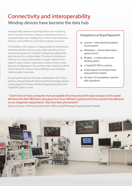# Connectivity and interoperability Mindray devices have become the data hub

Interoperability between Royal Papworth's new monitoring and its hospital information systems is allowing clinicians to use patient data more intelligently, to inform clinical decisions, enhance clinical efficiency and improve patient outcomes.

The flexibility of the solution is made possible by the BeneLink Interfacing Module. By becoming a 'data hub', BeneLink has streamlined equipment in theatre, integrating multiple thirdparty devices into a single display. This allows simultaneous viewing of a variety of parameters for rapid insight into the patient's status. Cardiac output and a variety of other critical data can be displayed on the monitor screen, helping to inform clinical decisions, enhance clinical efficiency and ultimately improve patient outcomes.

On-going development and close collaboration with clinical partners at Royal Papworth will ensure the technology remains cutting-edge and evolves with the changing demands of the hospital for years to come.

#### Integrations at Royal Papworth:

- $\div$  Lorenzo main electronic patient record system
- $\div$  Metavision clinical information system for ICU
- $\div$  M-ighty e-observations and alerting system
- + 12-lead ECG PDF to Lorenzo
- + Serial output to Liva Nova heartlung perfusion system
- **+** GE Aisys CS2 anaesthetic machine with waveforms

#### *"I don't know of many companies that are capable of turning around this type of project at this speed. We knew that their R&D team were good, but I have still been surprised at just how quickly they delivered on our integration requirements. They have been phenomenal."*

Eamonn Gorman, Chief Nursing Information Officer and EPR Manager, Royal Papworth Hospital